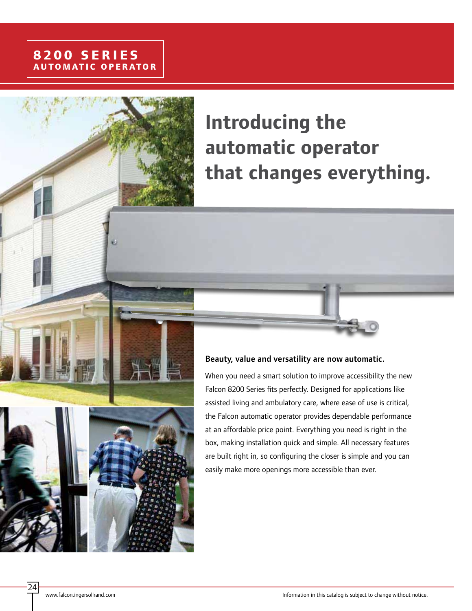# **Introducing the automatic operator that changes everything.**

#### Beauty, value and versatility are now automatic.

When you need a smart solution to improve accessibility the new Falcon 8200 Series fits perfectly. Designed for applications like assisted living and ambulatory care, where ease of use is critical, the Falcon automatic operator provides dependable performance at an affordable price point. Everything you need is right in the box, making installation quick and simple. All necessary features are built right in, so configuring the closer is simple and you can easily make more openings more accessible than ever.

24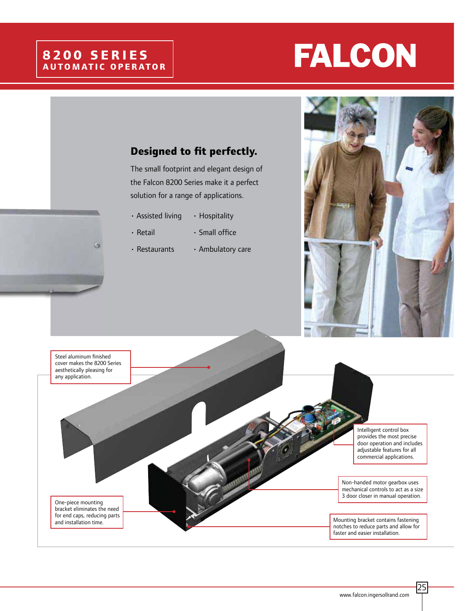### **8200 SERIES AUTOMATIC OPERATOR**

G

# **FALCON**

#### **Designed to fit perfectly.**

The small footprint and elegant design of the Falcon 8200 Series make it a perfect solution for a range of applications.

- $\cdot$  Assisted living  $\cdot$  Hospitality
- $\cdot$  Retail  $\cdot$  Small office
- $\cdot$  Restaurants  $\cdot$  Ambulatory care





25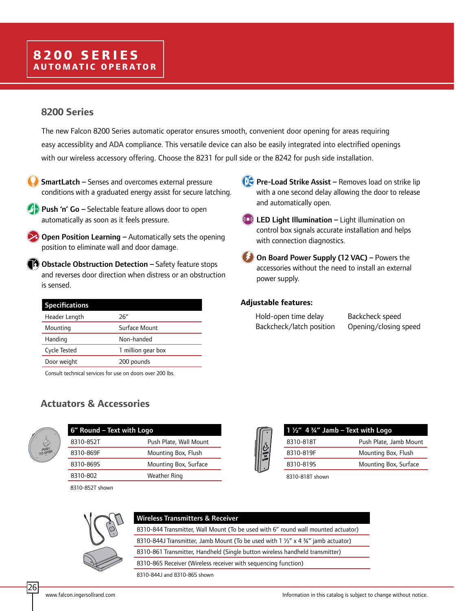### **8200 SERIES AUTOMATIC OPERATOR**

#### **8200 Series**

The new Falcon 8200 Series automatic operator ensures smooth, convenient door opening for areas requiring easy accessiblity and ADA compliance. This versatile device can also be easily integrated into electrified openings with our wireless accessory offering. Choose the 8231 for pull side or the 8242 for push side installation.

SmartLatch – Senses and overcomes external pressure conditions with a graduated energy assist for secure latching.

Push 'n' Go - Selectable feature allows door to open automatically as soon as it feels pressure.

**Open Position Learning – Automatically sets the opening** position to eliminate wall and door damage.

 $\bullet$  Obstacle Obstruction Detection  $-$  Safety feature stops and reverses door direction when distress or an obstruction is sensed.

| <b>Specifications</b> |                    |
|-----------------------|--------------------|
| Header Length         | 26″                |
| Mounting              | Surface Mount      |
| Handing               | Non-handed         |
| Cycle Tested          | 1 million gear box |
| Door weight           | 200 pounds         |

Consult technical services for use on doors over 200 lbs.

#### **Actuators & Accessories**



26

| 6" Round – Text with Logo |                        |  |
|---------------------------|------------------------|--|
| 8310-852T                 | Push Plate, Wall Mount |  |
| 8310-869F                 | Mounting Box, Flush    |  |
| 8310-8695                 | Mounting Box, Surface  |  |
| 8310-802                  | Weather Ring           |  |
|                           |                        |  |

8310-852T shown

- **Pre-Load Strike Assist Removes load on strike lip**  with a one second delay allowing the door to release and automatically open.
- $\left( \in \mathbb{R} \right)$  LED Light Illumination Light illumination on control box signals accurate installation and helps with connection diagnostics.
- On Board Power Supply (12 VAC) Powers the accessories without the need to install an external power supply.

#### **Adjustable features:**

| Hold-open time delay     | Backcheck speed       |
|--------------------------|-----------------------|
| Backcheck/latch position | Opening/closing speed |



8310-818T shown



| <b>Wireless Transmitters &amp; Receiver</b>      |  |
|--------------------------------------------------|--|
| 8310-844 Transmitter. Wall Mount (To be used wit |  |

th 6<sup>*"*</sup> round wall mounted actuator) 8310-844J Transmitter, Jamb Mount (To be used with 1  $\frac{1}{2}$  x 4  $\frac{3}{4}$ " jamb actuator) 8310-861 Transmitter, Handheld (Single button wireless handheld transmitter)

8310-865 Receiver (Wireless receiver with sequencing function)

8310-844J and 8310-865 shown